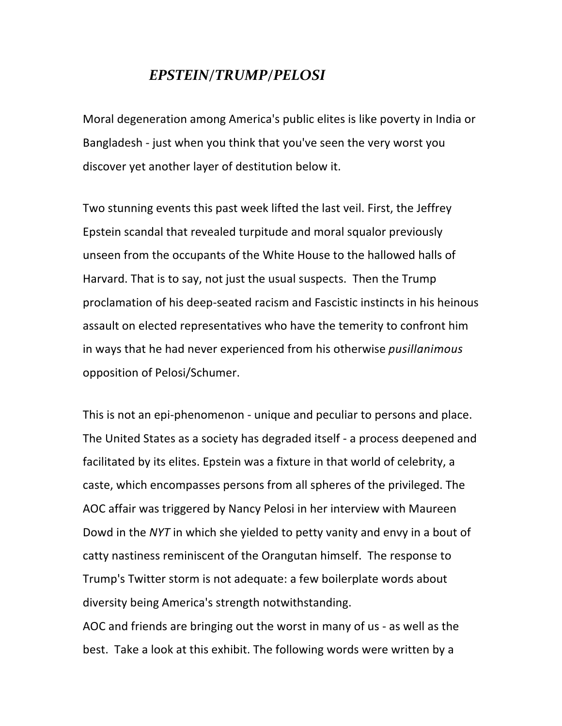## *EPSTEIN/TRUMP/PELOSI*

Moral degeneration among America's public elites is like poverty in India or Bangladesh - just when you think that you've seen the very worst you discover yet another layer of destitution below it.

Two stunning events this past week lifted the last veil. First, the Jeffrey Epstein scandal that revealed turpitude and moral squalor previously unseen from the occupants of the White House to the hallowed halls of Harvard. That is to say, not just the usual suspects. Then the Trump proclamation of his deep-seated racism and Fascistic instincts in his heinous assault on elected representatives who have the temerity to confront him in ways that he had never experienced from his otherwise *pusillanimous* opposition of Pelosi/Schumer.

This is not an epi-phenomenon - unique and peculiar to persons and place. The United States as a society has degraded itself - a process deepened and facilitated by its elites. Epstein was a fixture in that world of celebrity, a caste, which encompasses persons from all spheres of the privileged. The AOC affair was triggered by Nancy Pelosi in her interview with Maureen Dowd in the *NYT* in which she yielded to petty vanity and envy in a bout of catty nastiness reminiscent of the Orangutan himself. The response to Trump's Twitter storm is not adequate: a few boilerplate words about diversity being America's strength notwithstanding.

AOC and friends are bringing out the worst in many of us - as well as the best. Take a look at this exhibit. The following words were written by a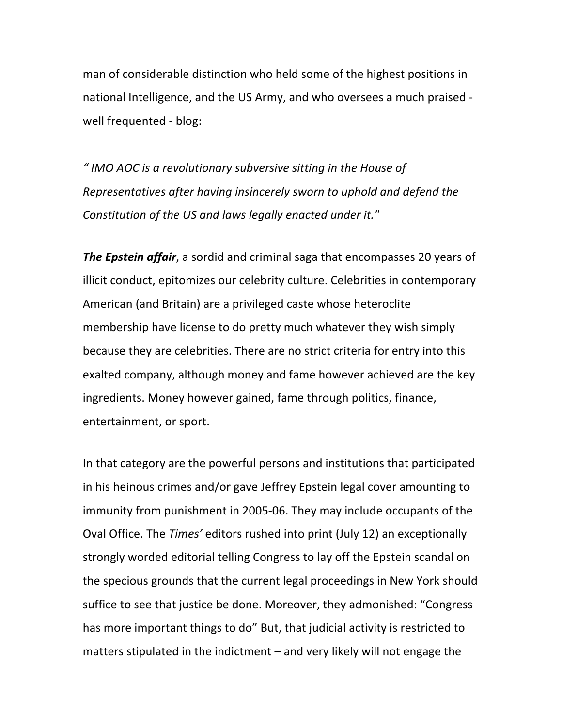man of considerable distinction who held some of the highest positions in national Intelligence, and the US Army, and who oversees a much praised well frequented - blog:

*" IMO AOC is a revolutionary subversive sitting in the House of Representatives after having insincerely sworn to uphold and defend the* Constitution of the US and laws legally enacted under it."

**The Epstein affair**, a sordid and criminal saga that encompasses 20 years of illicit conduct, epitomizes our celebrity culture. Celebrities in contemporary American (and Britain) are a privileged caste whose heteroclite membership have license to do pretty much whatever they wish simply because they are celebrities. There are no strict criteria for entry into this exalted company, although money and fame however achieved are the key ingredients. Money however gained, fame through politics, finance, entertainment, or sport.

In that category are the powerful persons and institutions that participated in his heinous crimes and/or gave Jeffrey Epstein legal cover amounting to immunity from punishment in 2005-06. They may include occupants of the Oval Office. The *Times'* editors rushed into print (July 12) an exceptionally strongly worded editorial telling Congress to lay off the Epstein scandal on the specious grounds that the current legal proceedings in New York should suffice to see that justice be done. Moreover, they admonished: "Congress has more important things to do" But, that judicial activity is restricted to matters stipulated in the indictment  $-$  and very likely will not engage the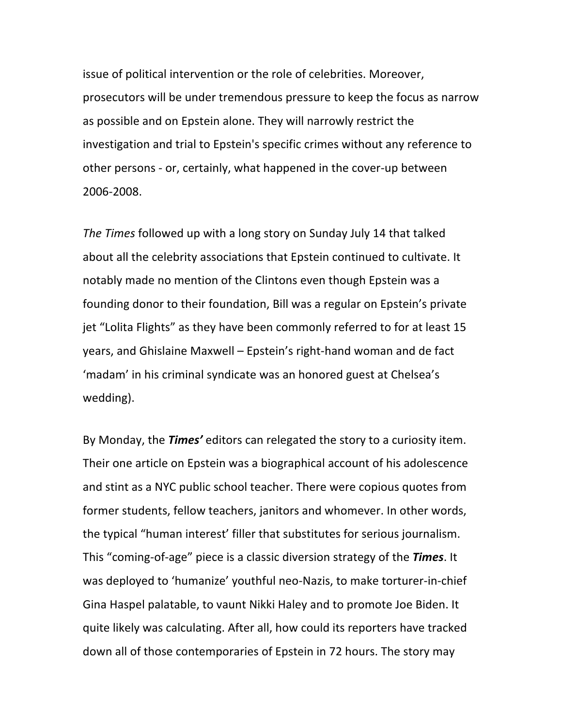issue of political intervention or the role of celebrities. Moreover, prosecutors will be under tremendous pressure to keep the focus as narrow as possible and on Epstein alone. They will narrowly restrict the investigation and trial to Epstein's specific crimes without any reference to other persons - or, certainly, what happened in the cover-up between 2006-2008. 

The Times followed up with a long story on Sunday July 14 that talked about all the celebrity associations that Epstein continued to cultivate. It notably made no mention of the Clintons even though Epstein was a founding donor to their foundation, Bill was a regular on Epstein's private jet "Lolita Flights" as they have been commonly referred to for at least 15 years, and Ghislaine Maxwell – Epstein's right-hand woman and de fact 'madam' in his criminal syndicate was an honored guest at Chelsea's wedding).

By Monday, the **Times'** editors can relegated the story to a curiosity item. Their one article on Epstein was a biographical account of his adolescence and stint as a NYC public school teacher. There were copious quotes from former students, fellow teachers, janitors and whomever. In other words, the typical "human interest' filler that substitutes for serious journalism. This "coming-of-age" piece is a classic diversion strategy of the *Times*. It was deployed to 'humanize' youthful neo-Nazis, to make torturer-in-chief Gina Haspel palatable, to vaunt Nikki Haley and to promote Joe Biden. It quite likely was calculating. After all, how could its reporters have tracked down all of those contemporaries of Epstein in 72 hours. The story may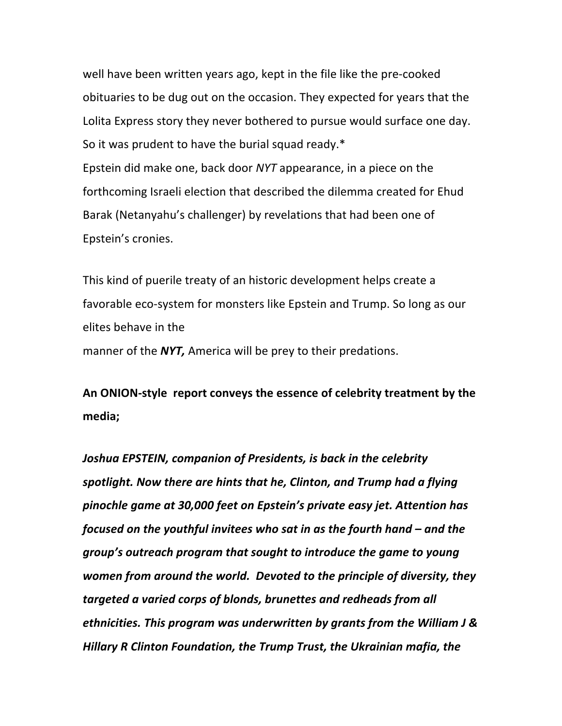well have been written years ago, kept in the file like the pre-cooked obituaries to be dug out on the occasion. They expected for years that the Lolita Express story they never bothered to pursue would surface one day. So it was prudent to have the burial squad ready. $*$ Epstein did make one, back door *NYT* appearance, in a piece on the forthcoming Israeli election that described the dilemma created for Ehud Barak (Netanyahu's challenger) by revelations that had been one of Epstein's cronies.

This kind of puerile treaty of an historic development helps create a favorable eco-system for monsters like Epstein and Trump. So long as our elites behave in the manner of the **NYT**, America will be prey to their predations.

An ONION-style report conveys the essence of celebrity treatment by the **media;**

Joshua EPSTEIN, companion of Presidents, is back in the celebrity spotlight. Now there are hints that he, Clinton, and Trump had a flying pinochle game at 30,000 feet on Epstein's private easy jet. Attention has *focused* on the youthful invitees who sat in as the fourth hand – and the *group's* outreach program that sought to introduce the game to young women from around the world. Devoted to the principle of diversity, they targeted a varied corps of blonds, brunettes and redheads from all ethnicities. This program was underwritten by grants from the William J & *Hillary R Clinton Foundation, the Trump Trust, the Ukrainian mafia, the*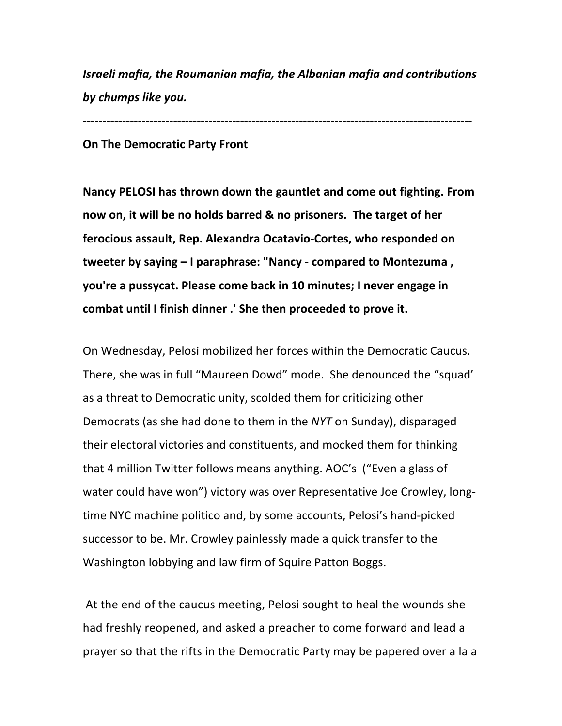**Israeli mafia, the Roumanian mafia, the Albanian mafia and contributions** *by chumps like you.*

*---------------------------------------------------------------------------------------------------*

## **On The Democratic Party Front**

Nancy PELOSI has thrown down the gauntlet and come out fighting. From **now on, it will be no holds barred & no prisoners. The target of her** ferocious assault, Rep. Alexandra Ocatavio-Cortes, who responded on **tweeter by saying – I paraphrase: "Nancy - compared to Montezuma, you're a pussycat. Please come back in 10 minutes; I never engage in** combat until I finish dinner .' She then proceeded to prove it.

On Wednesday, Pelosi mobilized her forces within the Democratic Caucus. There, she was in full "Maureen Dowd" mode. She denounced the "squad' as a threat to Democratic unity, scolded them for criticizing other Democrats (as she had done to them in the *NYT* on Sunday), disparaged their electoral victories and constituents, and mocked them for thinking that 4 million Twitter follows means anything. AOC's ("Even a glass of water could have won") victory was over Representative Joe Crowley, longtime NYC machine politico and, by some accounts, Pelosi's hand-picked successor to be. Mr. Crowley painlessly made a quick transfer to the Washington lobbying and law firm of Squire Patton Boggs.

At the end of the caucus meeting, Pelosi sought to heal the wounds she had freshly reopened, and asked a preacher to come forward and lead a prayer so that the rifts in the Democratic Party may be papered over a la a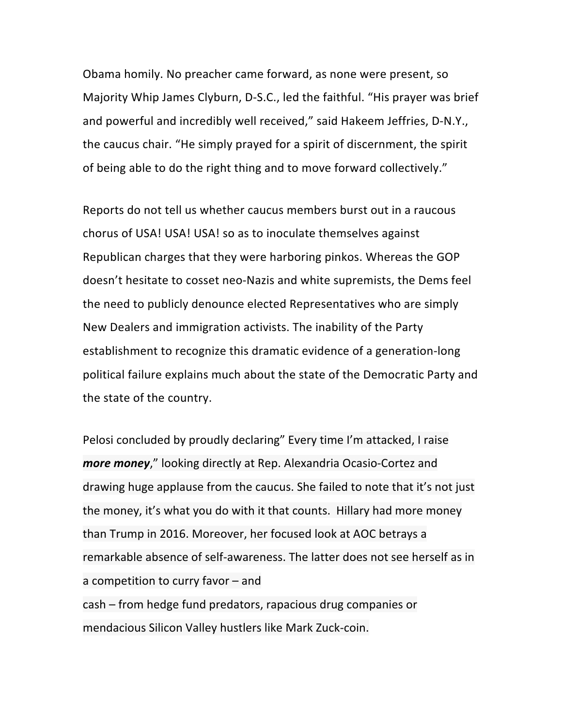Obama homily. No preacher came forward, as none were present, so Majority Whip James Clyburn, D-S.C., led the faithful. "His prayer was brief and powerful and incredibly well received," said Hakeem Jeffries, D-N.Y., the caucus chair. "He simply prayed for a spirit of discernment, the spirit of being able to do the right thing and to move forward collectively."

Reports do not tell us whether caucus members burst out in a raucous chorus of USA! USA! USA! so as to inoculate themselves against Republican charges that they were harboring pinkos. Whereas the GOP doesn't hesitate to cosset neo-Nazis and white supremists, the Dems feel the need to publicly denounce elected Representatives who are simply New Dealers and immigration activists. The inability of the Party establishment to recognize this dramatic evidence of a generation-long political failure explains much about the state of the Democratic Party and the state of the country.

Pelosi concluded by proudly declaring" Every time I'm attacked, I raise *more money*," looking directly at Rep. Alexandria Ocasio-Cortez and drawing huge applause from the caucus. She failed to note that it's not just the money, it's what you do with it that counts. Hillary had more money than Trump in 2016. Moreover, her focused look at AOC betrays a remarkable absence of self-awareness. The latter does not see herself as in a competition to curry favor  $-$  and cash – from hedge fund predators, rapacious drug companies or mendacious Silicon Valley hustlers like Mark Zuck-coin.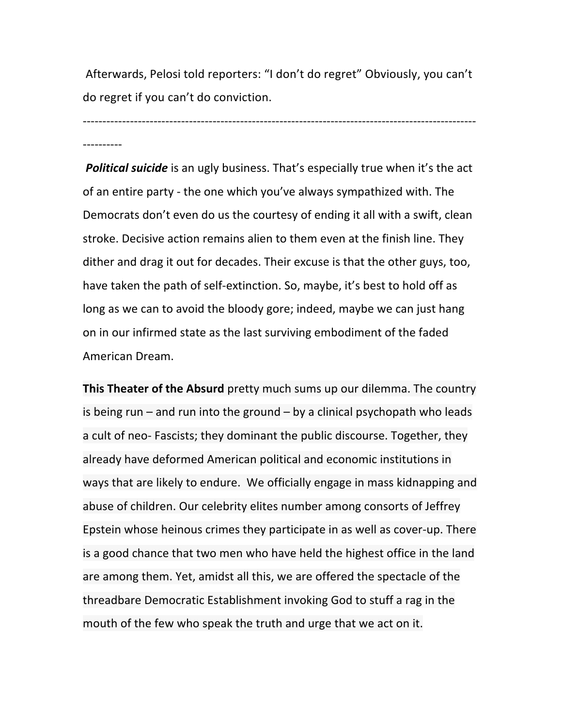Afterwards, Pelosi told reporters: "I don't do regret" Obviously, you can't do regret if you can't do conviction.

---------------------------------------------------------------------------------------------------- ----------

**Political suicide** is an ugly business. That's especially true when it's the act of an entire party - the one which you've always sympathized with. The Democrats don't even do us the courtesy of ending it all with a swift, clean stroke. Decisive action remains alien to them even at the finish line. They dither and drag it out for decades. Their excuse is that the other guys, too, have taken the path of self-extinction. So, maybe, it's best to hold off as long as we can to avoid the bloody gore; indeed, maybe we can just hang on in our infirmed state as the last surviving embodiment of the faded American Dream. 

**This Theater of the Absurd** pretty much sums up our dilemma. The country is being  $run$  – and run into the ground – by a clinical psychopath who leads a cult of neo- Fascists; they dominant the public discourse. Together, they already have deformed American political and economic institutions in ways that are likely to endure. We officially engage in mass kidnapping and abuse of children. Our celebrity elites number among consorts of Jeffrey Epstein whose heinous crimes they participate in as well as cover-up. There is a good chance that two men who have held the highest office in the land are among them. Yet, amidst all this, we are offered the spectacle of the threadbare Democratic Establishment invoking God to stuff a rag in the mouth of the few who speak the truth and urge that we act on it.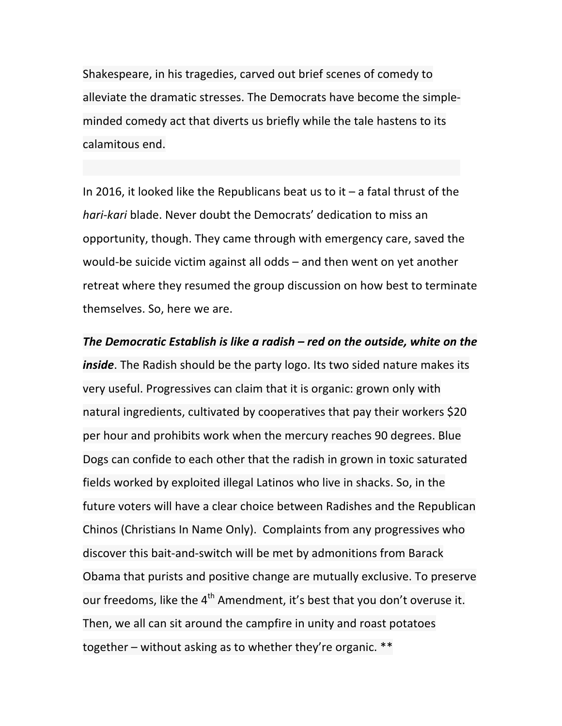Shakespeare, in his tragedies, carved out brief scenes of comedy to alleviate the dramatic stresses. The Democrats have become the simpleminded comedy act that diverts us briefly while the tale hastens to its calamitous end.

In 2016, it looked like the Republicans beat us to it  $-$  a fatal thrust of the *hari-kari* blade. Never doubt the Democrats' dedication to miss an opportunity, though. They came through with emergency care, saved the would-be suicide victim against all odds  $-$  and then went on yet another retreat where they resumed the group discussion on how best to terminate themselves. So, here we are.

## The Democratic Establish is like a radish – red on the outside, white on the

*inside*. The Radish should be the party logo. Its two sided nature makes its very useful. Progressives can claim that it is organic: grown only with natural ingredients, cultivated by cooperatives that pay their workers  $$20$ per hour and prohibits work when the mercury reaches 90 degrees. Blue Dogs can confide to each other that the radish in grown in toxic saturated fields worked by exploited illegal Latinos who live in shacks. So, in the future voters will have a clear choice between Radishes and the Republican Chinos (Christians In Name Only). Complaints from any progressives who discover this bait-and-switch will be met by admonitions from Barack Obama that purists and positive change are mutually exclusive. To preserve our freedoms, like the  $4<sup>th</sup>$  Amendment, it's best that you don't overuse it. Then, we all can sit around the campfire in unity and roast potatoes together – without asking as to whether they're organic.  $**$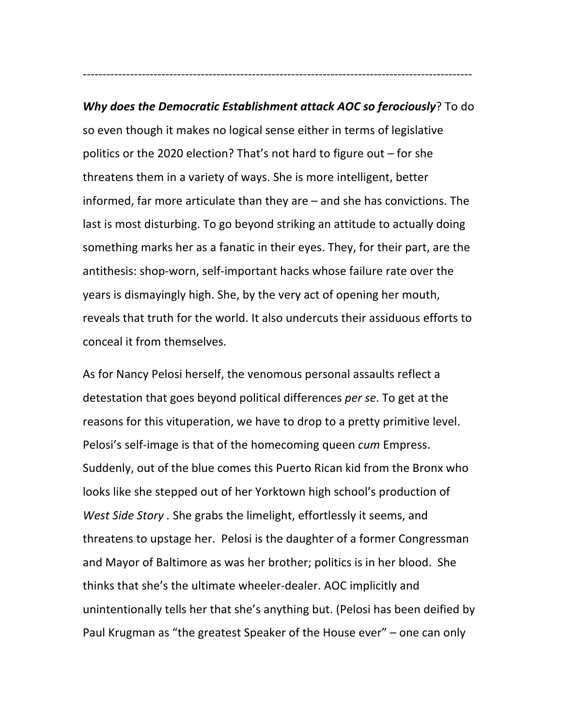**Why does the Democratic Establishment attack AOC so ferociously**? To do so even though it makes no logical sense either in terms of legislative politics or the 2020 election? That's not hard to figure out  $-$  for she threatens them in a variety of ways. She is more intelligent, better informed, far more articulate than they are  $-$  and she has convictions. The last is most disturbing. To go beyond striking an attitude to actually doing something marks her as a fanatic in their eyes. They, for their part, are the antithesis: shop-worn, self-important hacks whose failure rate over the years is dismayingly high. She, by the very act of opening her mouth, reveals that truth for the world. It also undercuts their assiduous efforts to conceal it from themselves.

*-----------------------------------------------------*----------------------------------------------

As for Nancy Pelosi herself, the venomous personal assaults reflect a detestation that goes beyond political differences *per se*. To get at the reasons for this vituperation, we have to drop to a pretty primitive level. Pelosi's self-image is that of the homecoming queen *cum* Empress. Suddenly, out of the blue comes this Puerto Rican kid from the Bronx who looks like she stepped out of her Yorktown high school's production of *West Side Story*. She grabs the limelight, effortlessly it seems, and threatens to upstage her. Pelosi is the daughter of a former Congressman and Mayor of Baltimore as was her brother; politics is in her blood. She thinks that she's the ultimate wheeler-dealer. AOC implicitly and unintentionally tells her that she's anything but. (Pelosi has been deified by Paul Krugman as "the greatest Speaker of the House ever" – one can only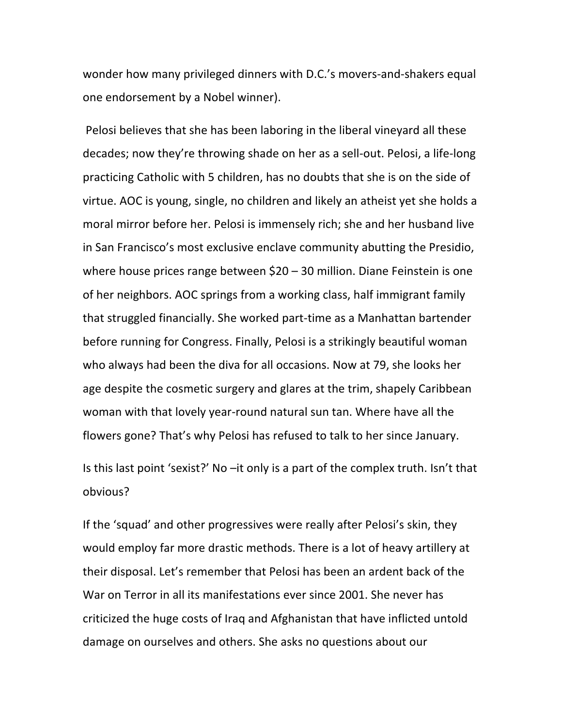wonder how many privileged dinners with D.C.'s movers-and-shakers equal one endorsement by a Nobel winner).

Pelosi believes that she has been laboring in the liberal vineyard all these decades; now they're throwing shade on her as a sell-out. Pelosi, a life-long practicing Catholic with 5 children, has no doubts that she is on the side of virtue. AOC is young, single, no children and likely an atheist yet she holds a moral mirror before her. Pelosi is immensely rich; she and her husband live in San Francisco's most exclusive enclave community abutting the Presidio, where house prices range between  $$20 - 30$  million. Diane Feinstein is one of her neighbors. AOC springs from a working class, half immigrant family that struggled financially. She worked part-time as a Manhattan bartender before running for Congress. Finally, Pelosi is a strikingly beautiful woman who always had been the diva for all occasions. Now at 79, she looks her age despite the cosmetic surgery and glares at the trim, shapely Caribbean woman with that lovely year-round natural sun tan. Where have all the flowers gone? That's why Pelosi has refused to talk to her since January.

Is this last point 'sexist?' No  $-i$ t only is a part of the complex truth. Isn't that obvious?

If the 'squad' and other progressives were really after Pelosi's skin, they would employ far more drastic methods. There is a lot of heavy artillery at their disposal. Let's remember that Pelosi has been an ardent back of the War on Terror in all its manifestations ever since 2001. She never has criticized the huge costs of Iraq and Afghanistan that have inflicted untold damage on ourselves and others. She asks no questions about our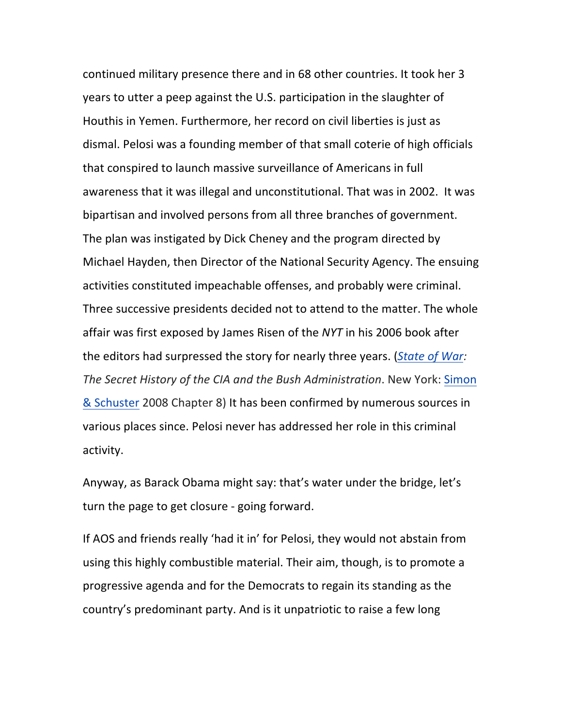continued military presence there and in 68 other countries. It took her 3 years to utter a peep against the U.S. participation in the slaughter of Houthis in Yemen. Furthermore, her record on civil liberties is just as dismal. Pelosi was a founding member of that small coterie of high officials that conspired to launch massive surveillance of Americans in full awareness that it was illegal and unconstitutional. That was in 2002. It was bipartisan and involved persons from all three branches of government. The plan was instigated by Dick Cheney and the program directed by Michael Hayden, then Director of the National Security Agency. The ensuing activities constituted impeachable offenses, and probably were criminal. Three successive presidents decided not to attend to the matter. The whole affair was first exposed by James Risen of the *NYT* in his 2006 book after the editors had surpressed the story for nearly three years. (*State of War:* The Secret History of the CIA and the Bush Administration. New York: Simon & Schuster 2008 Chapter 8) It has been confirmed by numerous sources in various places since. Pelosi never has addressed her role in this criminal activity.

Anyway, as Barack Obama might say: that's water under the bridge, let's turn the page to get closure - going forward.

If AOS and friends really 'had it in' for Pelosi, they would not abstain from using this highly combustible material. Their aim, though, is to promote a progressive agenda and for the Democrats to regain its standing as the country's predominant party. And is it unpatriotic to raise a few long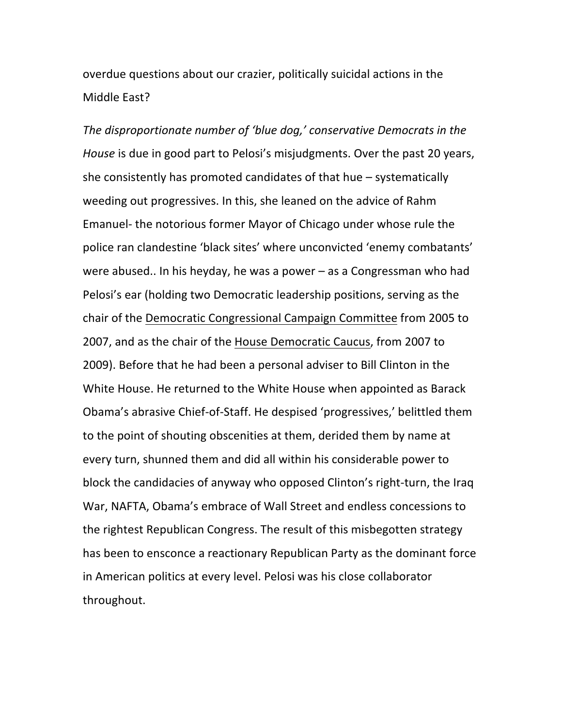overdue questions about our crazier, politically suicidal actions in the Middle East?

The disproportionate number of 'blue dog,' conservative Democrats in the *House* is due in good part to Pelosi's misjudgments. Over the past 20 years, she consistently has promoted candidates of that hue  $-$  systematically weeding out progressives. In this, she leaned on the advice of Rahm Emanuel- the notorious former Mayor of Chicago under whose rule the police ran clandestine 'black sites' where unconvicted 'enemy combatants' were abused.. In his heyday, he was a power  $-$  as a Congressman who had Pelosi's ear (holding two Democratic leadership positions, serving as the chair of the Democratic Congressional Campaign Committee from 2005 to 2007, and as the chair of the House Democratic Caucus, from 2007 to 2009). Before that he had been a personal adviser to Bill Clinton in the White House. He returned to the White House when appointed as Barack Obama's abrasive Chief-of-Staff. He despised 'progressives,' belittled them to the point of shouting obscenities at them, derided them by name at every turn, shunned them and did all within his considerable power to block the candidacies of anyway who opposed Clinton's right-turn, the Iraq War, NAFTA, Obama's embrace of Wall Street and endless concessions to the rightest Republican Congress. The result of this misbegotten strategy has been to ensconce a reactionary Republican Party as the dominant force in American politics at every level. Pelosi was his close collaborator throughout.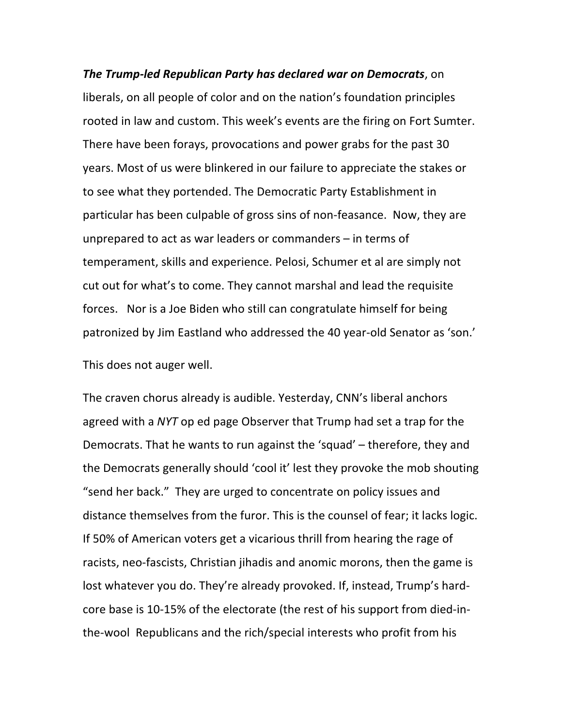*The Trump-led Republican Party has declared war on Democrats, on* liberals, on all people of color and on the nation's foundation principles rooted in law and custom. This week's events are the firing on Fort Sumter. There have been forays, provocations and power grabs for the past 30 years. Most of us were blinkered in our failure to appreciate the stakes or to see what they portended. The Democratic Party Establishment in particular has been culpable of gross sins of non-feasance. Now, they are unprepared to act as war leaders or commanders  $-$  in terms of temperament, skills and experience. Pelosi, Schumer et al are simply not cut out for what's to come. They cannot marshal and lead the requisite forces. Nor is a Joe Biden who still can congratulate himself for being patronized by Jim Eastland who addressed the 40 year-old Senator as 'son.'

This does not auger well.

The craven chorus already is audible. Yesterday, CNN's liberal anchors agreed with a *NYT* op ed page Observer that Trump had set a trap for the Democrats. That he wants to run against the 'squad' – therefore, they and the Democrats generally should 'cool it' lest they provoke the mob shouting "send her back." They are urged to concentrate on policy issues and distance themselves from the furor. This is the counsel of fear; it lacks logic. If 50% of American voters get a vicarious thrill from hearing the rage of racists, neo-fascists, Christian jihadis and anomic morons, then the game is lost whatever you do. They're already provoked. If, instead, Trump's hardcore base is 10-15% of the electorate (the rest of his support from died-inthe-wool Republicans and the rich/special interests who profit from his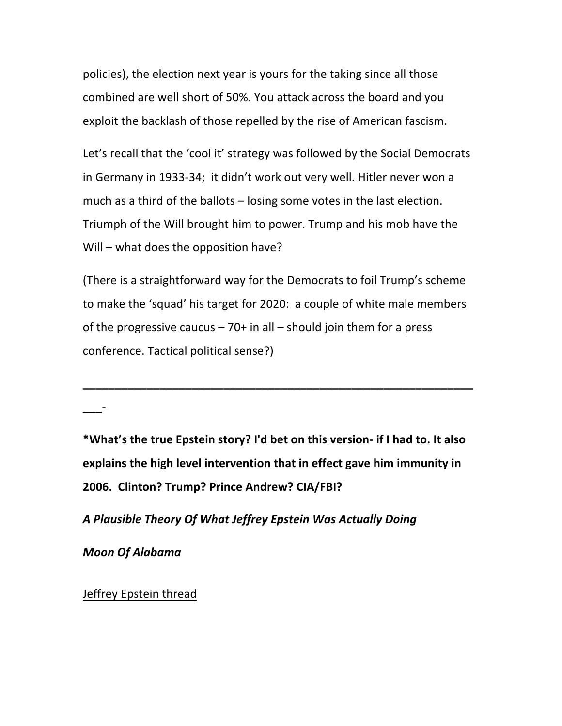policies), the election next year is yours for the taking since all those combined are well short of 50%. You attack across the board and you exploit the backlash of those repelled by the rise of American fascism.

Let's recall that the 'cool it' strategy was followed by the Social Democrats in Germany in 1933-34; it didn't work out very well. Hitler never won a much as a third of the ballots  $-$  losing some votes in the last election. Triumph of the Will brought him to power. Trump and his mob have the Will  $-$  what does the opposition have?

(There is a straightforward way for the Democrats to foil Trump's scheme to make the 'squad' his target for 2020: a couple of white male members of the progressive caucus  $-70+$  in all  $-$  should join them for a press conference. Tactical political sense?)

**\_\_\_\_\_\_\_\_\_\_\_\_\_\_\_\_\_\_\_\_\_\_\_\_\_\_\_\_\_\_\_\_\_\_\_\_\_\_\_\_\_\_\_\_\_\_\_\_\_\_\_\_\_\_\_\_\_\_\_\_\_**

\*What's the true Epstein story? I'd bet on this version- if I had to. It also explains the high level intervention that in effect gave him immunity in **2006. Clinton? Trump? Prince Andrew? CIA/FBI?**

*A Plausible Theory Of What Jeffrey Epstein Was Actually Doing*

*Moon Of Alabama*

**\_\_\_-**

Jeffrey Epstein thread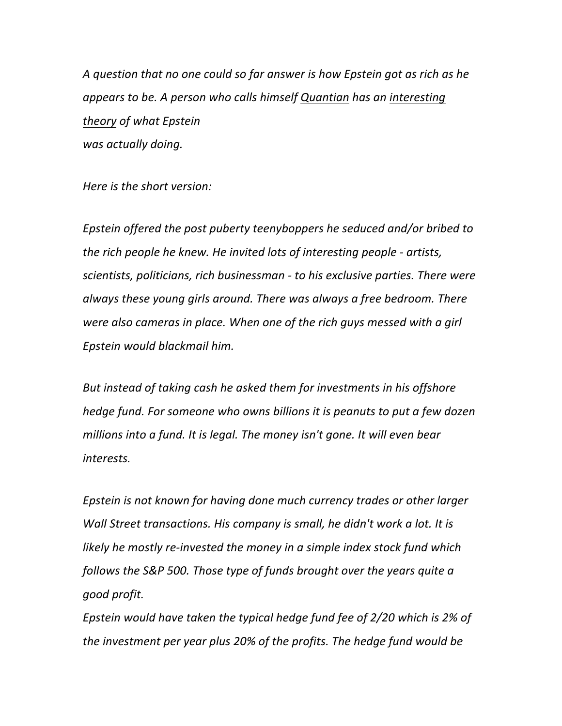A question that no one could so far answer is how Epstein got as rich as he *appears to be.* A person who calls himself Quantian has an interesting *theory of what Epstein was actually doing.*

*Here is the short version:* 

Epstein offered the post puberty teenyboppers he seduced and/or bribed to *the rich people he knew. He invited lots of interesting people - artists, scientists, politicians, rich businessman - to his exclusive parties. There were* always these young girls around. There was always a free bedroom. There were also cameras in place. When one of the rich guys messed with a girl *Epstein would blackmail him.*

But instead of taking cash he asked them for investments in his offshore *hedge fund.* For someone who owns billions it is peanuts to put a few dozen millions into a fund. It is legal. The money isn't gone. It will even bear *interests.*

*Epstein is not known for having done much currency trades or other larger Wall Street transactions. His company is small, he didn't work a lot. It is likely* he mostly re-invested the money in a simple index stock fund which *follows the S&P 500. Those type of funds brought over the years quite a good profit.*

*Epstein* would have taken the typical hedge fund fee of 2/20 which is 2% of *the investment per year plus 20% of the profits. The hedge fund would be*